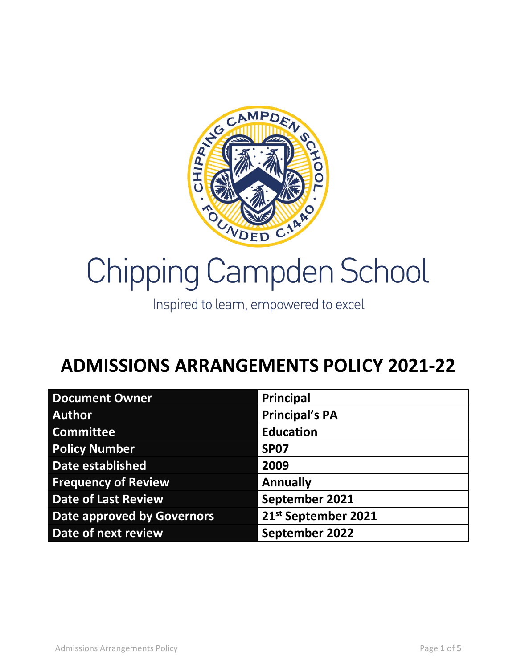

# Chipping Campden School

Inspired to learn, empowered to excel

## **ADMISSIONS ARRANGEMENTS POLICY 2021-22**

| <b>Document Owner</b>             | <b>Principal</b>      |
|-----------------------------------|-----------------------|
| <b>Author</b>                     | <b>Principal's PA</b> |
| <b>Committee</b>                  | <b>Education</b>      |
| <b>Policy Number</b>              | <b>SP07</b>           |
| Date established                  | 2009                  |
| <b>Frequency of Review</b>        | <b>Annually</b>       |
| <b>Date of Last Review</b>        | September 2021        |
| <b>Date approved by Governors</b> | 21st September 2021   |
| Date of next review               | September 2022        |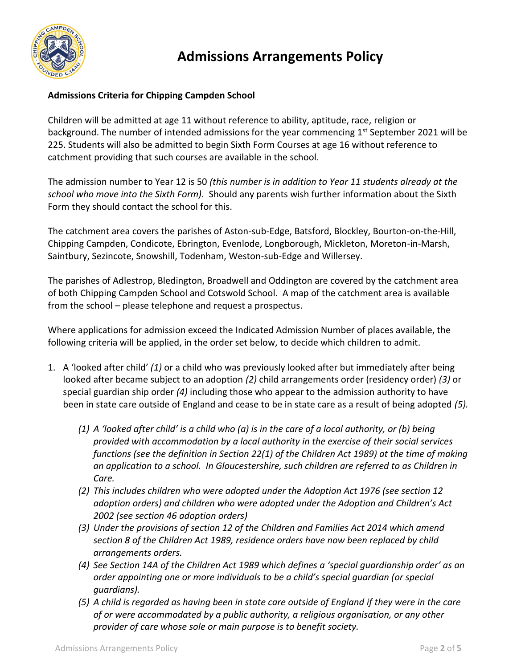

## **Admissions Arrangements Policy**

#### **Admissions Criteria for Chipping Campden School**

Children will be admitted at age 11 without reference to ability, aptitude, race, religion or background. The number of intended admissions for the year commencing 1<sup>st</sup> September 2021 will be 225. Students will also be admitted to begin Sixth Form Courses at age 16 without reference to catchment providing that such courses are available in the school.

The admission number to Year 12 is 50 *(this number is in addition to Year 11 students already at the school who move into the Sixth Form).* Should any parents wish further information about the Sixth Form they should contact the school for this.

The catchment area covers the parishes of Aston-sub-Edge, Batsford, Blockley, Bourton-on-the-Hill, Chipping Campden, Condicote, Ebrington, Evenlode, Longborough, Mickleton, Moreton-in-Marsh, Saintbury, Sezincote, Snowshill, Todenham, Weston-sub-Edge and Willersey.

The parishes of Adlestrop, Bledington, Broadwell and Oddington are covered by the catchment area of both Chipping Campden School and Cotswold School. A map of the catchment area is available from the school – please telephone and request a prospectus.

Where applications for admission exceed the Indicated Admission Number of places available, the following criteria will be applied, in the order set below, to decide which children to admit.

- 1. A 'looked after child' *(1)* or a child who was previously looked after but immediately after being looked after became subject to an adoption *(2)* child arrangements order (residency order) *(3)* or special guardian ship order *(4)* including those who appear to the admission authority to have been in state care outside of England and cease to be in state care as a result of being adopted *(5).*
	- *(1) A 'looked after child' is a child who (a) is in the care of a local authority, or (b) being provided with accommodation by a local authority in the exercise of their social services functions (see the definition in Section 22(1) of the Children Act 1989) at the time of making an application to a school. In Gloucestershire, such children are referred to as Children in Care.*
	- *(2) This includes children who were adopted under the Adoption Act 1976 (see section 12 adoption orders) and children who were adopted under the Adoption and Children's Act 2002 (see section 46 adoption orders)*
	- *(3) Under the provisions of section 12 of the Children and Families Act 2014 which amend section 8 of the Children Act 1989, residence orders have now been replaced by child arrangements orders.*
	- *(4) See Section 14A of the Children Act 1989 which defines a 'special guardianship order' as an order appointing one or more individuals to be a child's special guardian (or special guardians).*
	- *(5) A child is regarded as having been in state care outside of England if they were in the care of or were accommodated by a public authority, a religious organisation, or any other provider of care whose sole or main purpose is to benefit society.*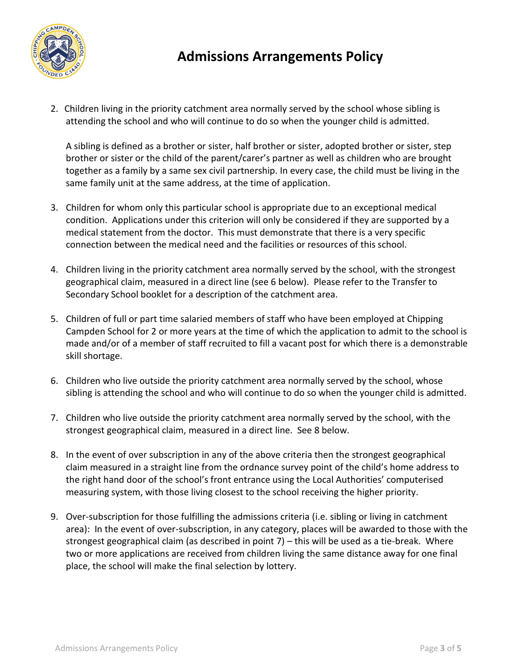

2. Children living in the priority catchment area normally served by the school whose sibling is attending the school and who will continue to do so when the younger child is admitted.

A sibling is defined as a brother or sister, half brother or sister, adopted brother or sister, step brother or sister or the child of the parent/carer's partner as well as children who are brought together as a family by a same sex civil partnership. In every case, the child must be living in the same family unit at the same address, at the time of application.

- 3. Children for whom only this particular school is appropriate due to an exceptional medical condition. Applications under this criterion will only be considered if they are supported by a medical statement from the doctor. This must demonstrate that there is a very specific connection between the medical need and the facilities or resources of this school.
- 4. Children living in the priority catchment area normally served by the school, with the strongest geographical claim, measured in a direct line (see 6 below). Please refer to the Transfer to Secondary School booklet for a description of the catchment area.
- 5. Children of full or part time salaried members of staff who have been employed at Chipping Campden School for 2 or more years at the time of which the application to admit to the school is made and/or of a member of staff recruited to fill a vacant post for which there is a demonstrable skill shortage.
- 6. Children who live outside the priority catchment area normally served by the school, whose sibling is attending the school and who will continue to do so when the younger child is admitted.
- 7. Children who live outside the priority catchment area normally served by the school, with the strongest geographical claim, measured in a direct line. See 8 below.
- 8. In the event of over subscription in any of the above criteria then the strongest geographical claim measured in a straight line from the ordnance survey point of the child's home address to the right hand door of the school's front entrance using the Local Authorities' computerised measuring system, with those living closest to the school receiving the higher priority.
- 9. Over-subscription for those fulfilling the admissions criteria (i.e. sibling or living in catchment area): In the event of over-subscription, in any category, places will be awarded to those with the strongest geographical claim (as described in point 7) – this will be used as a tie-break. Where two or more applications are received from children living the same distance away for one final place, the school will make the final selection by lottery.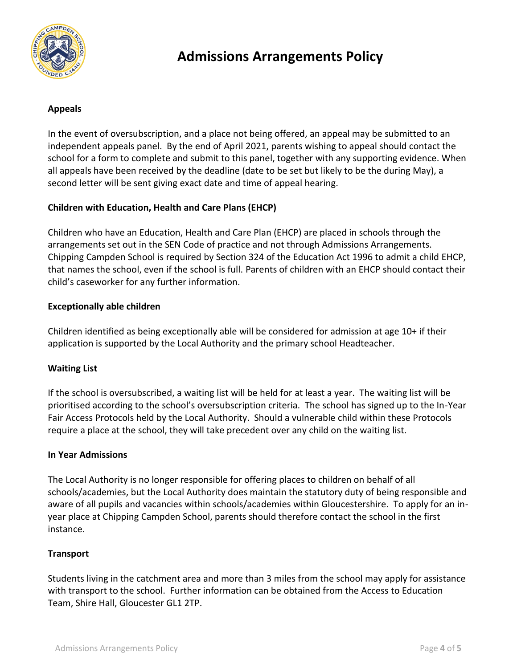

### **Admissions Arrangements Policy**

#### **Appeals**

In the event of oversubscription, and a place not being offered, an appeal may be submitted to an independent appeals panel. By the end of April 2021, parents wishing to appeal should contact the school for a form to complete and submit to this panel, together with any supporting evidence. When all appeals have been received by the deadline (date to be set but likely to be the during May), a second letter will be sent giving exact date and time of appeal hearing.

#### **Children with Education, Health and Care Plans (EHCP)**

Children who have an Education, Health and Care Plan (EHCP) are placed in schools through the arrangements set out in the SEN Code of practice and not through Admissions Arrangements. Chipping Campden School is required by Section 324 of the Education Act 1996 to admit a child EHCP, that names the school, even if the school is full. Parents of children with an EHCP should contact their child's caseworker for any further information.

#### **Exceptionally able children**

Children identified as being exceptionally able will be considered for admission at age 10+ if their application is supported by the Local Authority and the primary school Headteacher.

#### **Waiting List**

If the school is oversubscribed, a waiting list will be held for at least a year. The waiting list will be prioritised according to the school's oversubscription criteria. The school has signed up to the In-Year Fair Access Protocols held by the Local Authority. Should a vulnerable child within these Protocols require a place at the school, they will take precedent over any child on the waiting list.

#### **In Year Admissions**

The Local Authority is no longer responsible for offering places to children on behalf of all schools/academies, but the Local Authority does maintain the statutory duty of being responsible and aware of all pupils and vacancies within schools/academies within Gloucestershire. To apply for an inyear place at Chipping Campden School, parents should therefore contact the school in the first instance.

#### **Transport**

Students living in the catchment area and more than 3 miles from the school may apply for assistance with transport to the school. Further information can be obtained from the Access to Education Team, Shire Hall, Gloucester GL1 2TP.